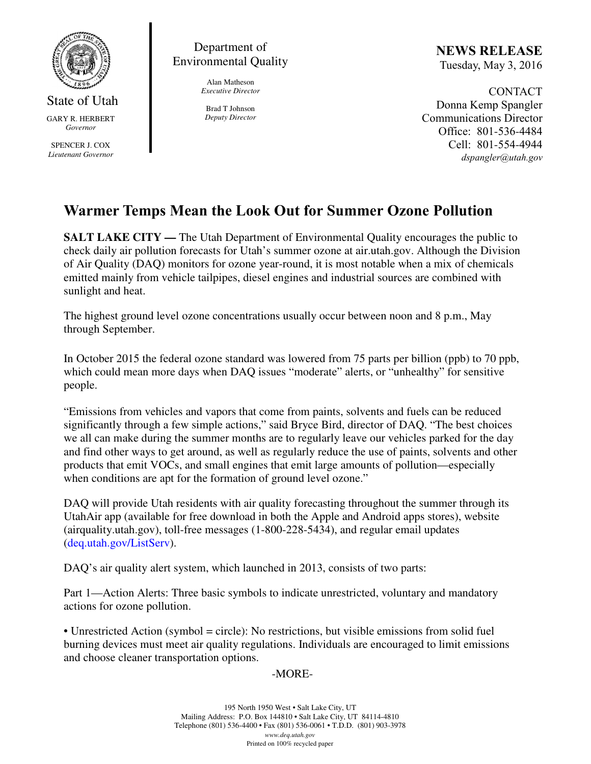

State of Utah GARY R. HERBERT *Governor* 

SPENCER J. COX *Lieutenant Governor* 

Department of Environmental Quality

> Alan Matheson *Executive Director*

Brad T Johnson *Deputy Director*  NEWS RELEASE Tuesday, May 3, 2016

CONTACT Donna Kemp Spangler Communications Director Office: 801-536-4484 Cell: 801-554-4944 dspangler@utah.gov

## Warmer Temps Mean the Look Out for Summer Ozone Pollution

**SALT LAKE CITY** — The Utah Department of Environmental Quality encourages the public to check daily air pollution forecasts for Utah's summer ozone at air.utah.gov. Although the Division of Air Quality (DAQ) monitors for ozone year-round, it is most notable when a mix of chemicals emitted mainly from vehicle tailpipes, diesel engines and industrial sources are combined with sunlight and heat.

The highest ground level ozone concentrations usually occur between noon and 8 p.m., May through September.

In October 2015 the federal ozone standard was lowered from 75 parts per billion (ppb) to 70 ppb, which could mean more days when DAQ issues "moderate" alerts, or "unhealthy" for sensitive people.

"Emissions from vehicles and vapors that come from paints, solvents and fuels can be reduced significantly through a few simple actions," said Bryce Bird, director of DAQ. "The best choices we all can make during the summer months are to regularly leave our vehicles parked for the day and find other ways to get around, as well as regularly reduce the use of paints, solvents and other products that emit VOCs, and small engines that emit large amounts of pollution—especially when conditions are apt for the formation of ground level ozone."

DAQ will provide Utah residents with air quality forecasting throughout the summer through its UtahAir app (available for free download in both the Apple and Android apps stores), website (airquality.utah.gov), toll-free messages (1-800-228-5434), and regular email updates (deq.utah.gov/ListServ).

DAQ's air quality alert system, which launched in 2013, consists of two parts:

Part 1—Action Alerts: Three basic symbols to indicate unrestricted, voluntary and mandatory actions for ozone pollution.

• Unrestricted Action (symbol = circle): No restrictions, but visible emissions from solid fuel burning devices must meet air quality regulations. Individuals are encouraged to limit emissions and choose cleaner transportation options.

## -MORE-

195 North 1950 West • Salt Lake City, UT Mailing Address: P.O. Box 144810 • Salt Lake City, UT 84114-4810 Telephone (801) 536-4400 • Fax (801) 536-0061 • T.D.D. (801) 903-3978 *www.deq.utah.gov*  Printed on 100% recycled paper